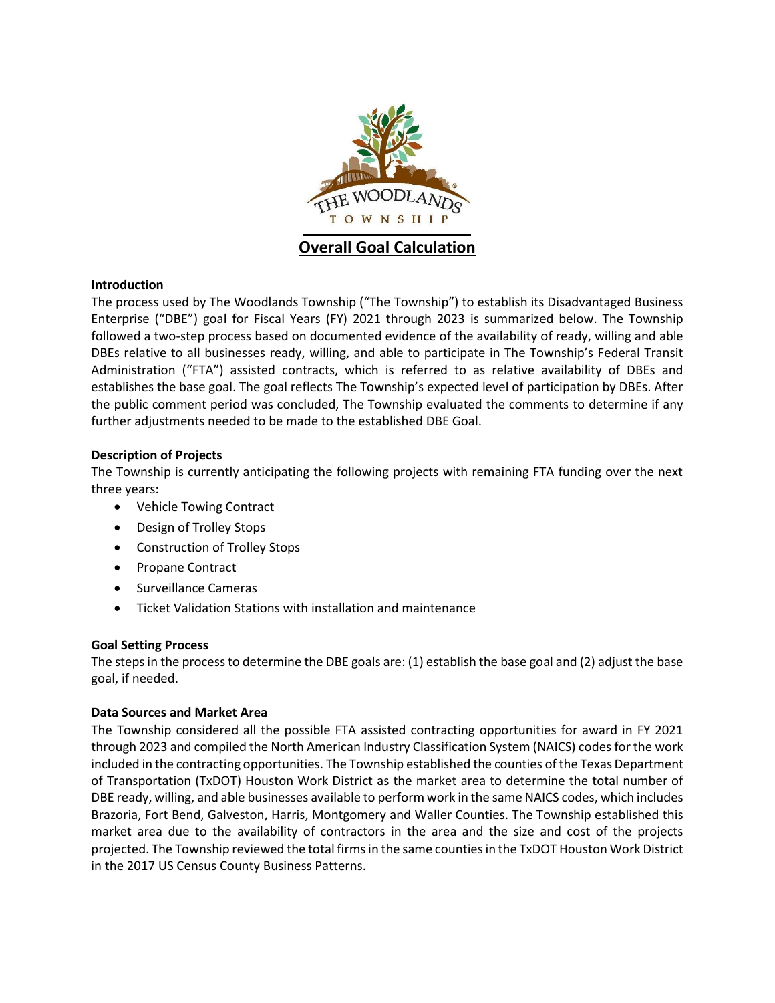

**Overall Goal Calculation** 

## **Introduction**

The process used by The Woodlands Township ("The Township") to establish its Disadvantaged Business Enterprise ("DBE") goal for Fiscal Years (FY) 2021 through 2023 is summarized below. The Township followed a two-step process based on documented evidence of the availability of ready, willing and able DBEs relative to all businesses ready, willing, and able to participate in The Township's Federal Transit Administration ("FTA") assisted contracts, which is referred to as relative availability of DBEs and establishes the base goal. The goal reflects The Township's expected level of participation by DBEs. After the public comment period was concluded, The Township evaluated the comments to determine if any further adjustments needed to be made to the established DBE Goal.

## **Description of Projects**

The Township is currently anticipating the following projects with remaining FTA funding over the next three years:

- Vehicle Towing Contract
- Design of Trolley Stops
- Construction of Trolley Stops
- Propane Contract
- Surveillance Cameras
- Ticket Validation Stations with installation and maintenance

## **Goal Setting Process**

The steps in the process to determine the DBE goals are: (1) establish the base goal and (2) adjust the base goal, if needed.

## **Data Sources and Market Area**

The Township considered all the possible FTA assisted contracting opportunities for award in FY 2021 through 2023 and compiled the North American Industry Classification System (NAICS) codes for the work included in the contracting opportunities. The Township established the counties of the Texas Department of Transportation (TxDOT) Houston Work District as the market area to determine the total number of DBE ready, willing, and able businesses available to perform work in the same NAICS codes, which includes Brazoria, Fort Bend, Galveston, Harris, Montgomery and Waller Counties. The Township established this market area due to the availability of contractors in the area and the size and cost of the projects projected. The Township reviewed the total firms in the same counties in the TxDOT Houston Work District in the 2017 US Census County Business Patterns.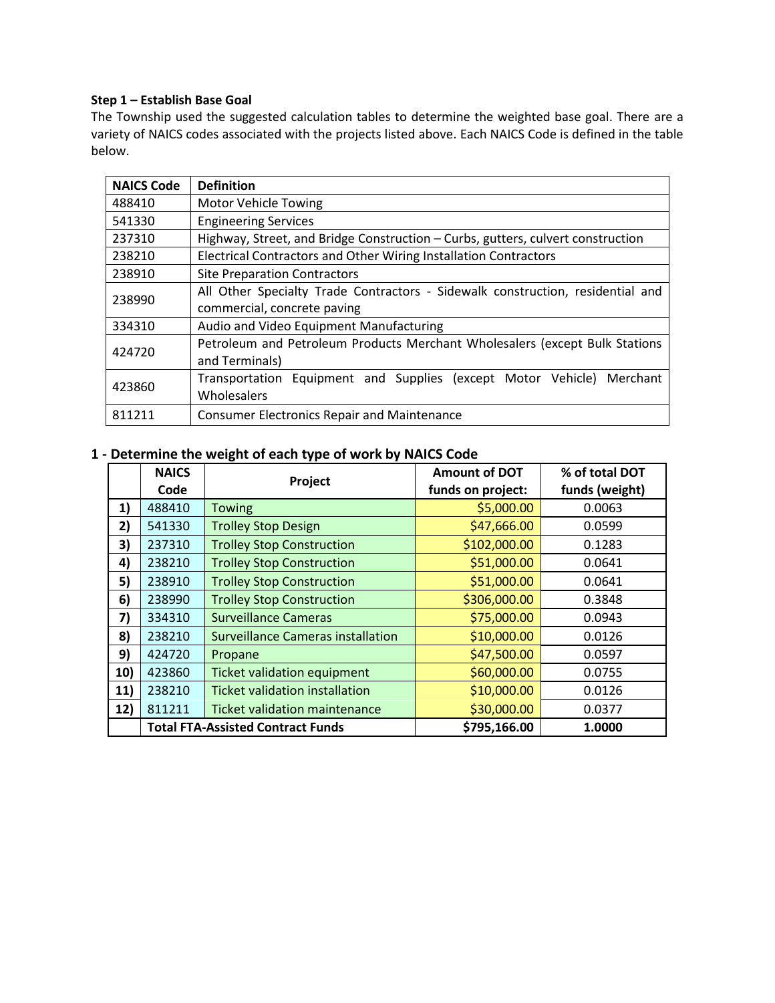## **Step 1 – Establish Base Goal**

The Township used the suggested calculation tables to determine the weighted base goal. There are a variety of NAICS codes associated with the projects listed above. Each NAICS Code is defined in the table below.

| <b>NAICS Code</b>                                                                     | <b>Definition</b>                                                               |  |  |
|---------------------------------------------------------------------------------------|---------------------------------------------------------------------------------|--|--|
| 488410                                                                                | <b>Motor Vehicle Towing</b>                                                     |  |  |
| 541330                                                                                | <b>Engineering Services</b>                                                     |  |  |
| 237310                                                                                | Highway, Street, and Bridge Construction – Curbs, gutters, culvert construction |  |  |
| 238210                                                                                | Electrical Contractors and Other Wiring Installation Contractors                |  |  |
| 238910                                                                                | <b>Site Preparation Contractors</b>                                             |  |  |
| 238990                                                                                | All Other Specialty Trade Contractors - Sidewalk construction, residential and  |  |  |
|                                                                                       | commercial, concrete paving                                                     |  |  |
| 334310                                                                                | Audio and Video Equipment Manufacturing                                         |  |  |
| Petroleum and Petroleum Products Merchant Wholesalers (except Bulk Stations<br>424720 |                                                                                 |  |  |
|                                                                                       | and Terminals)                                                                  |  |  |
| 423860                                                                                | Transportation Equipment and Supplies (except Motor Vehicle) Merchant           |  |  |
|                                                                                       | Wholesalers                                                                     |  |  |
| 811211                                                                                | <b>Consumer Electronics Repair and Maintenance</b>                              |  |  |

## **1 - Determine the weight of each type of work by NAICS Code**

|     | <b>NAICS</b> | Project                                  | <b>Amount of DOT</b> | % of total DOT |  |
|-----|--------------|------------------------------------------|----------------------|----------------|--|
|     | Code         |                                          | funds on project:    | funds (weight) |  |
| 1)  | 488410       | <b>Towing</b>                            | \$5,000.00           | 0.0063         |  |
| 2)  | 541330       | <b>Trolley Stop Design</b>               | \$47,666.00          | 0.0599         |  |
| 3)  | 237310       | <b>Trolley Stop Construction</b>         | \$102,000.00         | 0.1283         |  |
| 4)  | 238210       | <b>Trolley Stop Construction</b>         | \$51,000.00          | 0.0641         |  |
| 5)  | 238910       | <b>Trolley Stop Construction</b>         | \$51,000.00          | 0.0641         |  |
| 6)  | 238990       | <b>Trolley Stop Construction</b>         | \$306,000.00         | 0.3848         |  |
| 7)  | 334310       | Surveillance Cameras                     | \$75,000.00          | 0.0943         |  |
| 8)  | 238210       | Surveillance Cameras installation        | \$10,000.00          | 0.0126         |  |
| 9)  | 424720       | Propane                                  | \$47,500.00          | 0.0597         |  |
| 10) | 423860       | <b>Ticket validation equipment</b>       | \$60,000.00          | 0.0755         |  |
| 11) | 238210       | <b>Ticket validation installation</b>    | \$10,000.00          | 0.0126         |  |
| 12) | 811211       | Ticket validation maintenance            | \$30,000.00          | 0.0377         |  |
|     |              | <b>Total FTA-Assisted Contract Funds</b> | \$795,166.00         | 1.0000         |  |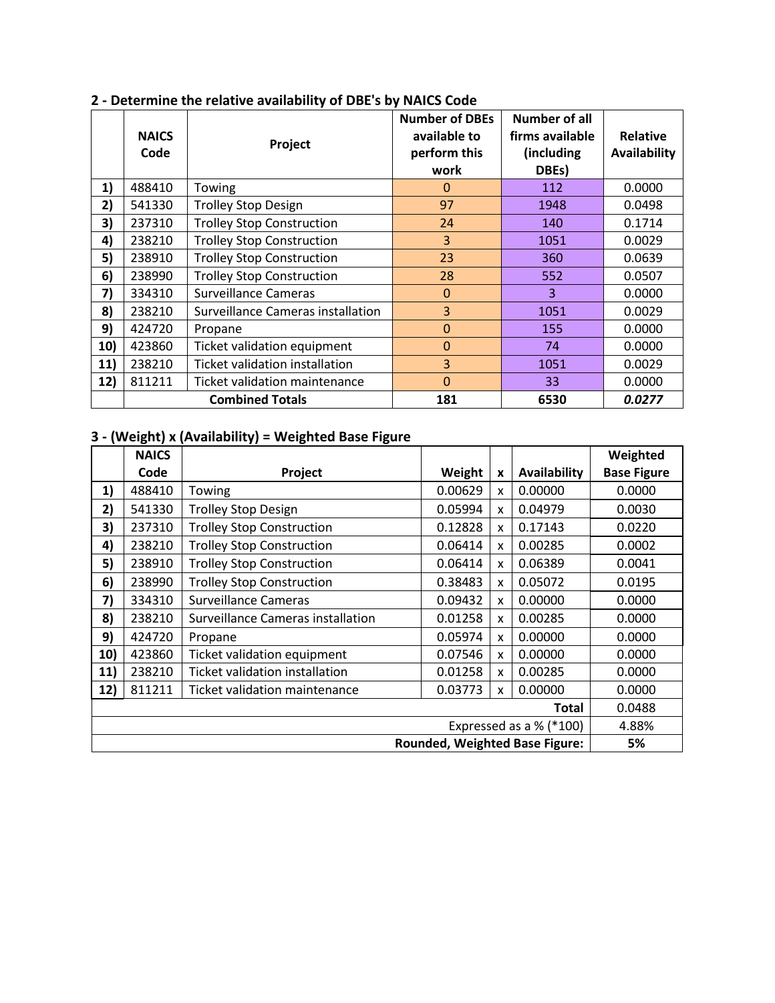|     | <b>NAICS</b><br>Code | Project                           | <b>Number of DBEs</b><br>available to<br>perform this<br>work | <b>Number of all</b><br>firms available<br>(including<br>DBEs) | <b>Relative</b><br>Availability |
|-----|----------------------|-----------------------------------|---------------------------------------------------------------|----------------------------------------------------------------|---------------------------------|
| 1)  | 488410               | Towing                            | $\Omega$                                                      | 112                                                            | 0.0000                          |
| 2)  | 541330               | <b>Trolley Stop Design</b>        | 97                                                            | 1948                                                           | 0.0498                          |
| 3)  | 237310               | <b>Trolley Stop Construction</b>  | 24                                                            | 140                                                            | 0.1714                          |
| 4)  | 238210               | <b>Trolley Stop Construction</b>  | $\overline{3}$                                                | 1051                                                           | 0.0029                          |
| 5)  | 238910               | <b>Trolley Stop Construction</b>  | 23                                                            | 360                                                            | 0.0639                          |
| 6)  | 238990               | <b>Trolley Stop Construction</b>  | 28                                                            | 552                                                            | 0.0507                          |
| 7)  | 334310               | <b>Surveillance Cameras</b>       | $\mathbf{0}$                                                  | 3                                                              | 0.0000                          |
| 8)  | 238210               | Surveillance Cameras installation | 3                                                             | 1051                                                           | 0.0029                          |
| 9)  | 424720               | Propane                           | $\mathbf{0}$                                                  | 155                                                            | 0.0000                          |
| 10) | 423860               | Ticket validation equipment       | $\mathbf 0$                                                   | 74                                                             | 0.0000                          |
| 11) | 238210               | Ticket validation installation    | 3                                                             | 1051                                                           | 0.0029                          |
| 12) | 811211               | Ticket validation maintenance     | $\Omega$                                                      | 33                                                             | 0.0000                          |
|     |                      | <b>Combined Totals</b>            | 181                                                           | 6530                                                           | 0.0277                          |

# **2 - Determine the relative availability of DBE's by NAICS Code**

# **3 - (Weight) x (Availability) = Weighted Base Figure**

|                                       | <b>NAICS</b> |                                      |         |   |                           | Weighted           |
|---------------------------------------|--------------|--------------------------------------|---------|---|---------------------------|--------------------|
|                                       | Code         | Project                              | Weight  | X | Availability              | <b>Base Figure</b> |
| 1)                                    | 488410       | Towing                               | 0.00629 | x | 0.00000                   | 0.0000             |
| 2)                                    | 541330       | <b>Trolley Stop Design</b>           | 0.05994 | X | 0.04979                   | 0.0030             |
| 3)                                    | 237310       | <b>Trolley Stop Construction</b>     | 0.12828 | x | 0.17143                   | 0.0220             |
| 4)                                    | 238210       | <b>Trolley Stop Construction</b>     | 0.06414 | X | 0.00285                   | 0.0002             |
| 5)                                    | 238910       | <b>Trolley Stop Construction</b>     | 0.06414 | x | 0.06389                   | 0.0041             |
| 6)                                    | 238990       | <b>Trolley Stop Construction</b>     | 0.38483 | x | 0.05072                   | 0.0195             |
| 7)                                    | 334310       | <b>Surveillance Cameras</b>          | 0.09432 | X | 0.00000                   | 0.0000             |
| 8)                                    | 238210       | Surveillance Cameras installation    | 0.01258 | X | 0.00285                   | 0.0000             |
| 9)                                    | 424720       | Propane                              | 0.05974 | X | 0.00000                   | 0.0000             |
| 10)                                   | 423860       | Ticket validation equipment          | 0.07546 | X | 0.00000                   | 0.0000             |
| 11)                                   | 238210       | Ticket validation installation       | 0.01258 | x | 0.00285                   | 0.0000             |
| 12)                                   | 811211       | <b>Ticket validation maintenance</b> | 0.03773 | X | 0.00000                   | 0.0000             |
| Total                                 |              |                                      |         |   | 0.0488                    |                    |
|                                       |              |                                      |         |   | Expressed as a $%$ (*100) | 4.88%              |
| <b>Rounded, Weighted Base Figure:</b> |              |                                      |         |   |                           | 5%                 |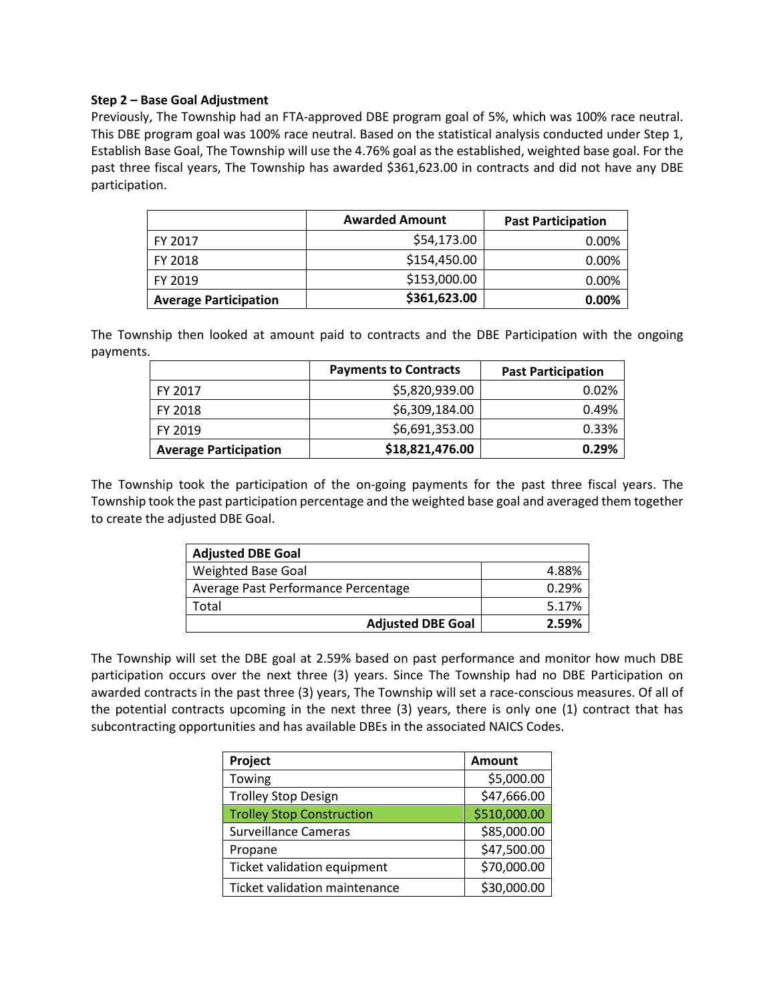#### **Step 2 – Base Goal Adjustment**

Previously, The Township had an FTA-approved DBE program goal of 5%, which was 100% race neutral. This DBE program goal was 100% race neutral. Based on the statistical analysis conducted under Step 1, Establish Base Goal, The Township will use the 4.76% goal as the established, weighted base goal. For the past three fiscal years, The Township has awarded \$361,623.00 in contracts and did not have any DBE participation.

|                              | <b>Awarded Amount</b> | <b>Past Participation</b> |
|------------------------------|-----------------------|---------------------------|
| FY 2017                      | \$54,173.00           | 0.00%                     |
| FY 2018                      | \$154,450.00          | 0.00%                     |
| FY 2019                      | \$153,000.00          | 0.00%                     |
| <b>Average Participation</b> | \$361,623.00          | $0.00\%$                  |

The Township then looked at amount paid to contracts and the DBE Participation with the ongoing payments.

|                              | <b>Payments to Contracts</b> | <b>Past Participation</b> |
|------------------------------|------------------------------|---------------------------|
| FY 2017                      | \$5,820,939.00               | 0.02%                     |
| FY 2018                      | \$6,309,184.00               | 0.49%                     |
| FY 2019                      | \$6,691,353.00               | 0.33%                     |
| <b>Average Participation</b> | \$18,821,476.00              | 0.29%                     |

The Township took the participation of the on-going payments for the past three fiscal years. The Township took the past participation percentage and the weighted base goal and averaged them together to create the adjusted DBE Goal.

| <b>Adjusted DBE Goal</b>            |       |
|-------------------------------------|-------|
| Weighted Base Goal                  | 4.88% |
| Average Past Performance Percentage | 0.29% |
| Total                               | 5.17% |
| <b>Adjusted DBE Goal</b>            | 2.59% |

The Township will set the DBE goal at 2.59% based on past performance and monitor how much DBE participation occurs over the next three (3) years. Since The Township had no DBE Participation on awarded contracts in the past three (3) years, The Township will set a race-conscious measures. Of all of the potential contracts upcoming in the next three (3) years, there is only one (1) contract that has subcontracting opportunities and has available DBEs in the associated NAICS Codes.

| Project                          | <b>Amount</b> |
|----------------------------------|---------------|
| Towing                           | \$5,000.00    |
| <b>Trolley Stop Design</b>       | \$47,666.00   |
| <b>Trolley Stop Construction</b> | \$510,000.00  |
| <b>Surveillance Cameras</b>      | \$85,000.00   |
| Propane                          | \$47,500.00   |
| Ticket validation equipment      | \$70,000.00   |
| Ticket validation maintenance    | \$30,000.00   |